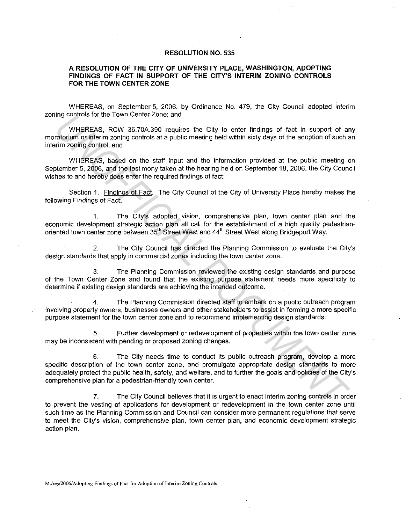## **RESOLUTION NO. 535**

## **A RESOLUTION OF THE CITY OF UNIVERSITY PLACE, WASHINGTON, ADOPTING FINDINGS OF FACT IN SUPPORT OF THE CITY'S INTERIM ZONING CONTROLS FOR THE TOWN CENTER ZONE**

WHEREAS, on September 5. 2006, by Ordinance No. 479, the City Council adopted interim zoning controls for the Town Center Zone; and

WHEREAS, RCW 36.70A.390 requires the City to enter findings of fact in support of any moratorium or interim zoning controls at a public meeting held within sixty days of the adoption of such an interim zoning control; and

WHEREAS, based on the staff input and the information provided at the public meeting on September 5, 2006, and the testimony taken at the hearing held on September 18, 2006, the City Council wishes to and hereby does enter the required findings of fact:

Section 1. Findings of Fact. The City Council of the City of University Place hereby makes the following Findings of Fact:

1. The City's adopted vision, comprehensive plan, town center plan and the economic development strategic action plan all call for the establishment of a high quality pedestrianoriented town center zone between 35<sup>th</sup> Street West and 44<sup>th</sup> Street West along Bridgeport Way.

2. The City Council has directed the Planning Commission to evaluate the City's design standards that apply in commercial zones including the town center zone.

3. The Planning Commission reviewed the existing design standards and purpose of the Town Center Zone and found that the existing purpose statement needs more specificity to determine if existing design standards are achieving the intended outcome.

4. The Planning Commission directed staff to embark on a public outreach program . involving property owners, businesses owners and other stakeholders to assist iri forming a more specific purpose statement for the town center zone and to recommend implementing design standards.

5. Further development or redevelopment of properties within the town center zone may be inconsistent with pending or proposed zoning changes.

6. The City needs time to conduct its public outreach program, develop a more specific description of the town center zone, and promulgate appropriate design standards to more adequately protect the public health, safety, and welfare, and to further the goals and policies of the City's comprehensive plan for a pedestrian-friendly town center. ing controls for the Town Genter Zone; and<br>
WHEREAS, RCW 35.700.39 requires the City to enter findings of fact in support of an<br> **Takismin or inferior and provided** at a public meeting heid within sixty days of the adoptio

7. The City Council believes that it is urgent to enact interim zoning controls in order to prevent the vesting of applications for development or redevelopment in the town center zone until such time as the Planning Commission and Council can consider more permanent regulations that serve to meet the City's vision, comprehensive plan, town center plan, and economic development strategic action plan.

**M:/res/2006/Adopting Findings of Fact for Adoption of Interim Zoning Controls**